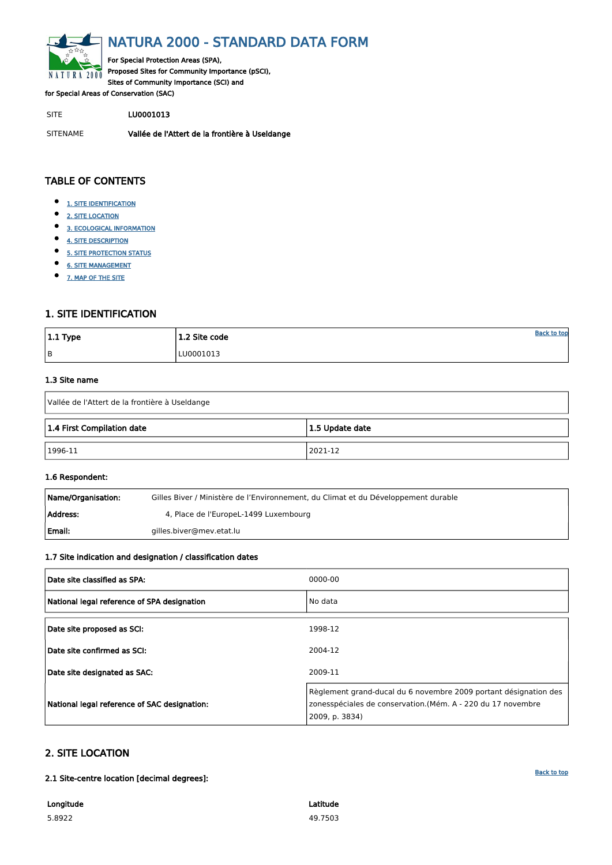<span id="page-0-0"></span>

# NATURA 2000 - STANDARD DATA FORM

For Special Protection Areas (SPA), Proposed Sites for Community Importance (pSCI), Sites of Community Importance (SCI) and

for Special Areas of Conservation (SAC)

SITE LU0001013

- $\bullet$ [1. SITE IDENTIFICATION](#page-0-1)
- $\bullet$ [2. SITE LOCATION](#page-0-2)
- $\bullet$ [3. ECOLOGICAL INFORMATION](#page-1-0)
- $\bullet$ [4. SITE DESCRIPTION](#page-3-0)
- $\bullet$ [5. SITE PROTECTION STATUS](#page-4-0)
- $\bullet$ [6. SITE MANAGEMENT](#page-5-0)
- $\bullet$ [7. MAP OF THE SITE](#page-5-1)

SITENAME Vallée de l'Attert de la frontière à Useldange

| $ 1.1$ Type | 1.2 Site code | <b>Back to top</b> |
|-------------|---------------|--------------------|
| B           | LU0001013     |                    |

# TABLE OF CONTENTS

| Name/Organisation: | Gilles Biver / Ministère de l'Environnement, du Climat et du Développement durable |
|--------------------|------------------------------------------------------------------------------------|
| Address:           | 4, Place de l'EuropeL-1499 Luxembourg                                              |
| l Email:           | gilles.biver@mev.etat.lu                                                           |

# <span id="page-0-1"></span>1. SITE IDENTIFICATION

#### 1.3 Site name

| Vallée de l'Attert de la frontière à Useldange |  |  |  |  |  |  |  |  |
|------------------------------------------------|--|--|--|--|--|--|--|--|
| 1.4 First Compilation date<br>1.5 Update date  |  |  |  |  |  |  |  |  |
| $ 1996-11$<br>2021-12                          |  |  |  |  |  |  |  |  |

#### 1.6 Respondent:

### 1.7 Site indication and designation / classification dates

| Date site classified as SPA:                | 0000-00 |
|---------------------------------------------|---------|
| National legal reference of SPA designation | No data |
| Date site proposed as SCI:                  | 1998-12 |
| Date site confirmed as SCI:                 | 2004-12 |

| Date site designated as SAC:                 | 2009-11                                                                                                                                           |
|----------------------------------------------|---------------------------------------------------------------------------------------------------------------------------------------------------|
| National legal reference of SAC designation: | Règlement grand-ducal du 6 novembre 2009 portant désignation des<br>zonesspéciales de conservation.(Mém. A - 220 du 17 novembre<br>2009, p. 3834) |

# <span id="page-0-2"></span>2. SITE LOCATION

2.1 Site-centre location [decimal degrees]:

Longitude 5.8922

Latitude 49.7503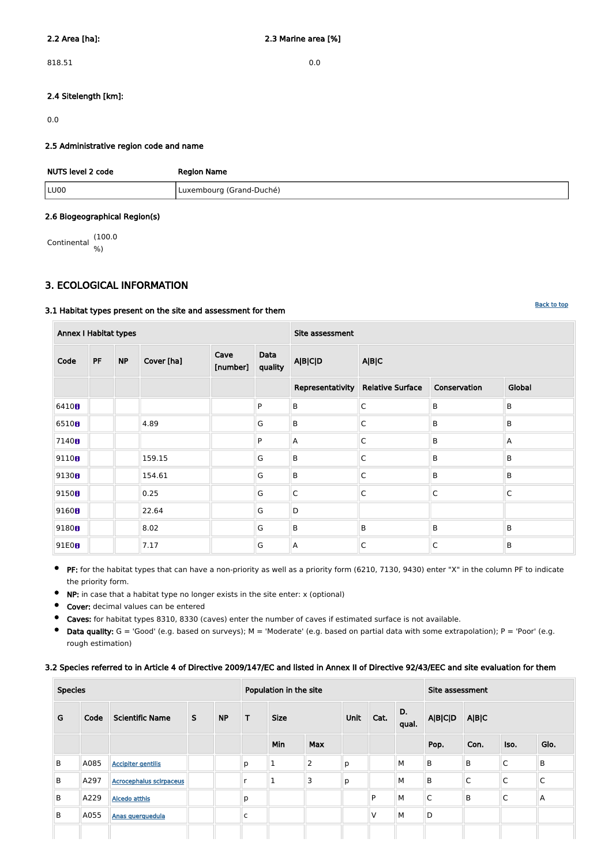818.51 0.0

## 2.4 Sitelength [km]:

0.0

#### 2.5 Administrative region code and name

| NUTS level 2 code | <b>Region Name</b>       |
|-------------------|--------------------------|
| LU00              | Luxembourg (Grand-Duché) |

#### 2.6 Biogeographical Region(s)

Continental (100.0 %)

# <span id="page-1-0"></span>3. ECOLOGICAL INFORMATION

## 3.1 Habitat types present on the site and assessment for them

**PF:** for the habitat types that can have a non-priority as well as a priority form (6210, 7130, 9430) enter "X" in the column PF to indicate the priority form.

| <b>Annex I Habitat types</b> |           |           |            |                  |                 | Site assessment |                                     |              |              |  |  |
|------------------------------|-----------|-----------|------------|------------------|-----------------|-----------------|-------------------------------------|--------------|--------------|--|--|
| Code                         | <b>PF</b> | <b>NP</b> | Cover [ha] | Cave<br>[number] | Data<br>quality | <b>A B C D</b>  | A B C                               |              |              |  |  |
|                              |           |           |            |                  |                 |                 | Representativity   Relative Surface | Conservation | Global       |  |  |
| 6410 <sub>0</sub>            |           |           |            |                  | P               | $\sf B$         | $\mathsf C$                         | B            | B            |  |  |
| 6510 <sub>8</sub>            |           |           | 4.89       |                  | G               | $\sf B$         | $\mathsf C$                         | B            | B            |  |  |
| 7140 <sub>0</sub>            |           |           |            |                  | P               | Α               | $\mathsf{C}$                        | B            | $\mathsf{A}$ |  |  |
| 9110 <sub>B</sub>            |           |           | 159.15     |                  | G               | B               | $\mathsf{C}$                        | B            | B            |  |  |
| 9130 <sub>0</sub>            |           |           | 154.61     |                  | G               | $\sf B$         | $\mathsf C$                         | B            | B            |  |  |
| 9150B                        |           |           | 0.25       |                  | G               | $\overline{C}$  | $\mathsf{C}$                        | $\mathsf{C}$ | $\mathsf{C}$ |  |  |
| 9160 <sub>0</sub>            |           |           | 22.64      |                  | G               | D               |                                     |              |              |  |  |
| 9180 <sub>0</sub>            |           |           | 8.02       |                  | G               | $\sf B$         | B                                   | B            | B            |  |  |
| 91E0B                        |           |           | 7.17       |                  | G               | Α               | $\mathsf C$                         | $\mathsf C$  | B            |  |  |

- NP: in case that a habitat type no longer exists in the site enter: x (optional)  $\bullet$
- Cover: decimal values can be entered  $\bullet$
- Caves: for habitat types 8310, 8330 (caves) enter the number of caves if estimated surface is not available.  $\bullet$
- Data quality:  $G = 'Good'$  (e.g. based on surveys);  $M = 'Modern'$  (e.g. based on partial data with some extrapolation);  $P = 'Poor'$  (e.g. rough estimation)

# 3.2 Species referred to in Article 4 of Directive 2009/147/EC and listed in Annex II of Directive 92/43/EEC and site evaluation for them

| <b>Species</b> |      |                                |              | Population in the site |              |              |                |   |   | Site assessment |              |             |              |              |                |       |  |  |
|----------------|------|--------------------------------|--------------|------------------------|--------------|--------------|----------------|---|---|-----------------|--------------|-------------|--------------|--------------|----------------|-------|--|--|
| G              | Code | <b>Scientific Name</b>         | $\mathsf{S}$ | <b>NP</b>              | T            | <b>Size</b>  |                |   |   |                 |              | Unit        | Cat.         | D.<br>qual.  | <b>A B C D</b> | A B C |  |  |
|                |      |                                |              |                        |              | <b>Min</b>   | Max            |   |   |                 | Pop.         | Con.        | Iso.         | Glo.         |                |       |  |  |
| B              | A085 | <b>Accipiter gentilis</b>      |              |                        | p            | $\mathbf 1$  | $\overline{2}$ | p |   | M               | $\sf B$      | $\mathsf B$ | $\mathsf C$  | $\sf B$      |                |       |  |  |
| B              | A297 | <b>Acrocephalus scirpaceus</b> |              |                        |              | $\mathbf{1}$ | 3              | p |   | M               | $\mathsf B$  | $\mathsf C$ | $\mathsf{C}$ | $\mathsf{C}$ |                |       |  |  |
| B              | A229 | <b>Alcedo atthis</b>           |              |                        | p            |              |                |   | P | M               | $\mathsf{C}$ | B           | $\mathsf{C}$ | A            |                |       |  |  |
| B              | A055 | Anas querquedula               |              |                        | $\mathsf{C}$ |              |                |   | V | M               | D            |             |              |              |                |       |  |  |
|                |      |                                |              |                        |              |              |                |   |   |                 |              |             |              |              |                |       |  |  |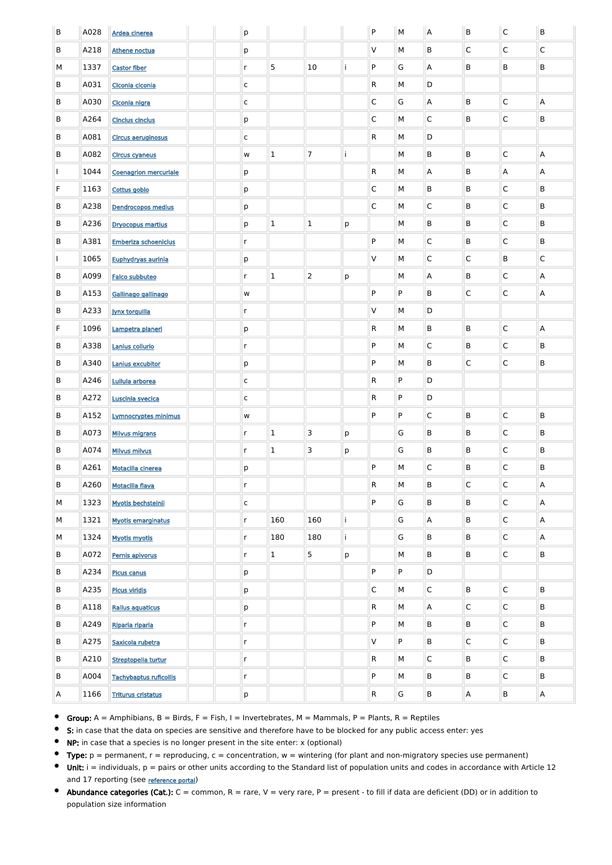| $\sf B$ | A028 | Ardea cinerea                 |  | $\mathsf{p}$ |              |                |   | P            | M            | A                       | B              | $\mathsf{C}$ | B            |
|---------|------|-------------------------------|--|--------------|--------------|----------------|---|--------------|--------------|-------------------------|----------------|--------------|--------------|
| B       | A218 | Athene noctua                 |  | p            |              |                |   | V            | M            | B                       | C              | C            | $\mathsf{C}$ |
| М       | 1337 | <b>Castor fiber</b>           |  | $\mathsf{r}$ | 5            | 10             |   | P            | G            | $\overline{A}$          | B              | B            | B            |
| B       | A031 | Ciconia ciconia               |  | $\mathsf C$  |              |                |   | R.           | M            | D                       |                |              |              |
| B       | A030 | Ciconia nigra                 |  | $\mathsf{C}$ |              |                |   | $\mathsf{C}$ | G            | $\mathsf{A}$            | B              | C            | Α            |
| B       | A264 | <b>Cinclus cinclus</b>        |  | p            |              |                |   | $\mathsf{C}$ | M            | $\overline{\mathsf{C}}$ | B              | C            | B            |
| B       | A081 | <b>Circus aeruginosus</b>     |  | $\mathsf C$  |              |                |   | $\mathsf{R}$ | М            | D                       |                |              |              |
| B       | A082 | <b>Circus cyaneus</b>         |  | ${\bf W}$    | $\mathbf{1}$ | $\overline{7}$ |   |              | M            | B                       | B              | C            | Α            |
|         | 1044 | <b>Coenagrion mercuriale</b>  |  | p            |              |                |   | $\mathsf{R}$ | M            | $\overline{A}$          | B              | Α            | Α            |
| F       | 1163 | Cottus gobio                  |  | р            |              |                |   | $\mathsf{C}$ | M            | B                       | B              | C            | B            |
| B       | A238 | <b>Dendrocopos medius</b>     |  | р            |              |                |   | $\mathsf{C}$ | М            | $\overline{C}$          | B              | C            | B            |
| B       | A236 | <b>Dryocopus martius</b>      |  | p            | $\mathbf{1}$ | $\mathbf{1}$   | p |              | M            | B                       | B              | C            | B            |
| B       | A381 | <b>Emberiza schoeniclus</b>   |  | $\mathsf{r}$ |              |                |   | P            | M            | $\mathsf{C}$            | B              | C            | B            |
|         | 1065 | Euphydryas aurinia            |  | p            |              |                |   | V            | M            | $\mathsf{C}$            | C              | B            | $\mathsf{C}$ |
| B       | A099 | <b>Falco subbuteo</b>         |  | $\mathsf{r}$ | $\mathbf{1}$ | $\overline{2}$ | p |              | M            | $\mathsf{A}$            | B              | C            | A            |
| B       | A153 | Gallinago gallinago           |  | ${\bf W}$    |              |                |   | P            | P            | B                       | $\mathsf{C}$   | C            | A            |
| B       | A233 | <b>Jynx torquilla</b>         |  | $\mathsf{r}$ |              |                |   | V            | M            | D                       |                |              |              |
| F       | 1096 | Lampetra planeri              |  | p            |              |                |   | R            | M            | B                       | B              | C            | Α            |
| B.      | A338 | Lanius collurio               |  | r            |              |                |   | P            | $\mathsf{M}$ | $\mathsf C$             | B              | $\mathsf C$  | B            |
| B       | A340 | Lanius excubitor              |  | p            |              |                |   | P            | M            | $\sf B$                 | $\mathsf{C}$   | $\mathsf C$  | B            |
| B       | A246 | Lullula arborea               |  | $\mathsf C$  |              |                |   | $\mathsf{R}$ | P            | D                       |                |              |              |
| В       | A272 | Luscinia svecica              |  | $\mathsf{C}$ |              |                |   | R            | P            | D                       |                |              |              |
| B       | A152 | Lymnocryptes minimus          |  | ${\sf W}$    |              |                |   | P            | ${\sf P}$    | $\overline{C}$          | B              | $\mathsf C$  | B            |
| B       | A073 | <b>Milvus migrans</b>         |  | $\mathsf{r}$ | $\mathbf 1$  | 3              | p |              | G            | $\sf B$                 | B              | $\mathsf C$  | B            |
| B       | A074 | <b>Milvus milvus</b>          |  | $\mathsf{r}$ | $\mathbf{1}$ | 3              | p |              | G            | B                       | B              | $\mathsf C$  | B            |
| B       | A261 | Motacilla cinerea             |  | p            |              |                |   | P            | M            | $\overline{C}$          | B              | $\mathsf C$  | B            |
| B       | A260 | <b>Motacilla flava</b>        |  | $\mathsf{r}$ |              |                |   | R            | M            | $\sf B$                 | $\mathsf C$    | $\mathsf C$  | А            |
| М       | 1323 | <b>Myotis bechsteinii</b>     |  | $\mathsf{C}$ |              |                |   | P            | G            | $\sf B$                 | B              | $\mathsf C$  | А            |
| М       | 1321 | <b>Myotis emarginatus</b>     |  | $\mathsf{r}$ | 160          | 160            |   |              | G            | $\overline{A}$          | B              | $\mathsf C$  | A            |
| М       | 1324 | <b>Myotis myotis</b>          |  | $\mathsf{r}$ | 180          | 180            |   |              | G            | $\sf B$                 | B              | $\mathsf C$  | А            |
| B       | A072 | Pernis apivorus               |  | $\mathsf{r}$ | $\mathbf{1}$ | 5              | p |              | M            | $\sf B$                 | B              | $\mathsf C$  | B            |
| B       | A234 | <b>Picus canus</b>            |  | p            |              |                |   | P            | P            | D                       |                |              |              |
| B       | A235 | <b>Picus viridis</b>          |  | p            |              |                |   | $\mathsf C$  | M            | $\overline{C}$          | B              | $\mathsf C$  | B            |
| B       | A118 | Rallus aquaticus              |  | p            |              |                |   | ${\sf R}$    | M            | $\overline{A}$          | $\mathsf C$    | $\mathsf C$  | B            |
| B       | A249 | Riparia riparia               |  | $\mathsf{r}$ |              |                |   | P            | M            | B                       | B              | $\mathsf C$  | B            |
| B       | A275 | Saxicola rubetra              |  | $\mathsf{r}$ |              |                |   | V            | P            | B                       | $\mathsf C$    | $\mathsf C$  | B            |
| B       | A210 | Streptopelia turtur           |  | $\mathsf{r}$ |              |                |   | ${\sf R}$    | M            | $\overline{C}$          | B              | $\mathsf C$  | B            |
| B       | A004 | <b>Tachybaptus ruficollis</b> |  | $\mathsf{r}$ |              |                |   | P            | M            | B                       | B              | C            | B            |
| A       | 1166 | <b>Triturus cristatus</b>     |  | p            |              |                |   | $\mathsf{R}$ | G            | B                       | $\overline{A}$ | B            | $\mathsf{A}$ |

- $\bullet$ Group:  $A =$  Amphibians,  $B =$  Birds,  $F =$  Fish, I = Invertebrates, M = Mammals, P = Plants, R = Reptiles
- $\bullet$ S: in case that the data on species are sensitive and therefore have to be blocked for any public access enter: yes
- $\bullet$ NP: in case that a species is no longer present in the site enter: x (optional)
- $\bullet$ Type:  $p =$  permanent,  $r =$  reproducing,  $c =$  concentration,  $w =$  wintering (for plant and non-migratory species use permanent)
- Unit: i = individuals, p = pairs or other units according to the Standard list of population units and codes in accordance with Article 12 and 17 reporting (see [reference portal](http://bd.eionet.europa.eu/activities/Natura_2000/reference_portal))
- Abundance categories (Cat.):  $C =$  common,  $R =$  rare,  $V =$  very rare,  $P =$  present to fill if data are deficient (DD) or in addition to population size information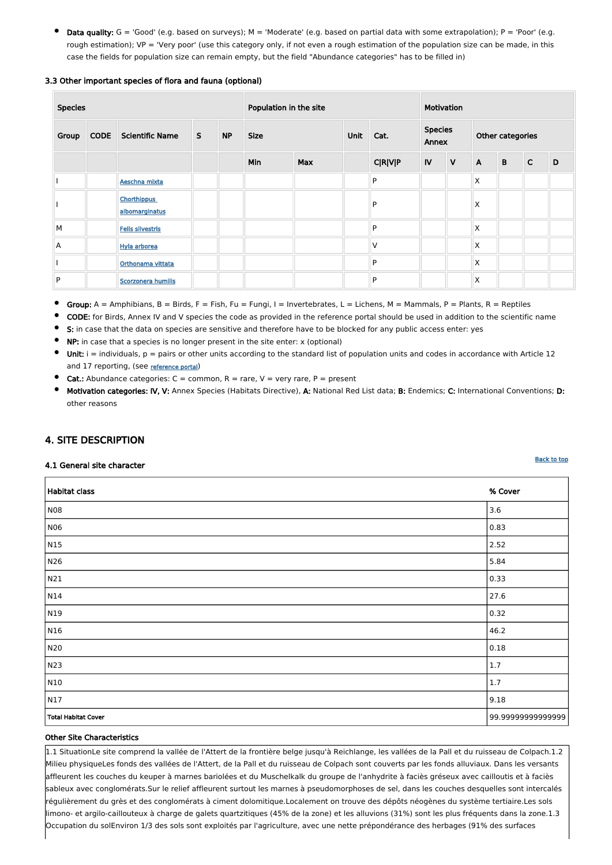Data quality:  $G = 'Good'$  (e.g. based on surveys); M = 'Moderate' (e.g. based on partial data with some extrapolation); P = 'Poor' (e.g. rough estimation); VP = 'Very poor' (use this category only, if not even a rough estimation of the population size can be made, in this case the fields for population size can remain empty, but the field "Abundance categories" has to be filled in)

### 3.3 Other important species of flora and fauna (optional)

| <b>Species</b> |             |                                      | Population in the site |           |             |            |  | Motivation     |      |              |                         |             |                  |   |  |  |
|----------------|-------------|--------------------------------------|------------------------|-----------|-------------|------------|--|----------------|------|--------------|-------------------------|-------------|------------------|---|--|--|
| Group          | <b>CODE</b> | <b>Scientific Name</b>               | S                      | <b>NP</b> | <b>Size</b> |            |  |                | Unit | Cat.         | <b>Species</b><br>Annex |             | Other categories |   |  |  |
|                |             |                                      |                        |           | Min         | <b>Max</b> |  | <b>C R V P</b> | IV   | $\mathsf{V}$ | $\mathsf{A}$            | $\mathbf B$ | $\mathsf{C}$     | D |  |  |
|                |             | Aeschna mixta                        |                        |           |             |            |  | P              |      |              | X                       |             |                  |   |  |  |
|                |             | <b>Chorthippus</b><br>albomarginatus |                        |           |             |            |  | P              |      |              | Χ                       |             |                  |   |  |  |
| M              |             | <b>Felis silvestris</b>              |                        |           |             |            |  | P              |      |              | X                       |             |                  |   |  |  |
| A              |             | Hyla arborea                         |                        |           |             |            |  | $\vee$         |      |              | X                       |             |                  |   |  |  |
|                |             | Orthonama vittata                    |                        |           |             |            |  | ${\sf P}$      |      |              | X                       |             |                  |   |  |  |
| P              |             | Scorzonera humilis                   |                        |           |             |            |  | P              |      |              | X                       |             |                  |   |  |  |

- $\bullet$ Group:  $A =$  Amphibians,  $B =$  Birds,  $F =$  Fish,  $Fu =$  Fungi,  $I =$  Invertebrates,  $L =$  Lichens,  $M =$  Mammals,  $P =$  Plants,  $R =$  Reptiles
- CODE: for Birds, Annex IV and V species the code as provided in the reference portal should be used in addition to the scientific name
- S: in case that the data on species are sensitive and therefore have to be blocked for any public access enter: yes
- NP: in case that a species is no longer present in the site enter: x (optional)
- Unit:  $i =$  individuals,  $p =$  pairs or other units according to the standard list of population units and codes in accordance with Article 12 and 17 reporting, (see [reference portal](http://bd.eionet.europa.eu/activities/Natura_2000/reference_portal))
- Cat.: Abundance categories:  $C =$  common,  $R =$  rare,  $V =$  very rare,  $P =$  present
- Motivation categories: IV, V: Annex Species (Habitats Directive), A: National Red List data; B: Endemics; C: International Conventions; D: other reasons

# <span id="page-3-0"></span>4. SITE DESCRIPTION

### 4.1 General site character

| Habitat class              | % Cover          |
|----------------------------|------------------|
| NO8                        | 3.6              |
| <b>N06</b>                 | 0.83             |
| N <sub>15</sub>            | 2.52             |
| N26                        | 5.84             |
| N21                        | 0.33             |
| N14                        | 27.6             |
| N19                        | 0.32             |
| N16                        | 46.2             |
| N20                        | 0.18             |
| N23                        | $1.7\,$          |
| N10                        | $1.7$            |
| $\sqrt{N17}$               | 9.18             |
| <b>Total Habitat Cover</b> | 99.9999999999999 |

#### Other Site Characteristics

1.1 SituationLe site comprend la vallée de l'Attert de la frontière belge jusqu'à Reichlange, les vallées de la Pall et du ruisseau de Colpach.1.2 Milieu physiqueLes fonds des vallées de l'Attert, de la Pall et du ruisseau de Colpach sont couverts par les fonds alluviaux. Dans les versants affleurent les couches du keuper à marnes bariolées et du Muschelkalk du groupe de l'anhydrite à faciès gréseux avec cailloutis et à faciès sableux avec conglomérats.Sur le relief affleurent surtout les marnes à pseudomorphoses de sel, dans les couches desquelles sont intercalés régulièrement du grès et des conglomérats à ciment dolomitique.Localement on trouve des dépôts néogènes du système tertiaire.Les sols limono- et argilo-caillouteux à charge de galets quartzitiques (45% de la zone) et les alluvions (31%) sont les plus fréquents dans la zone.1.3 Occupation du solEnviron 1/3 des sols sont exploités par l'agriculture, avec une nette prépondérance des herbages (91% des surfaces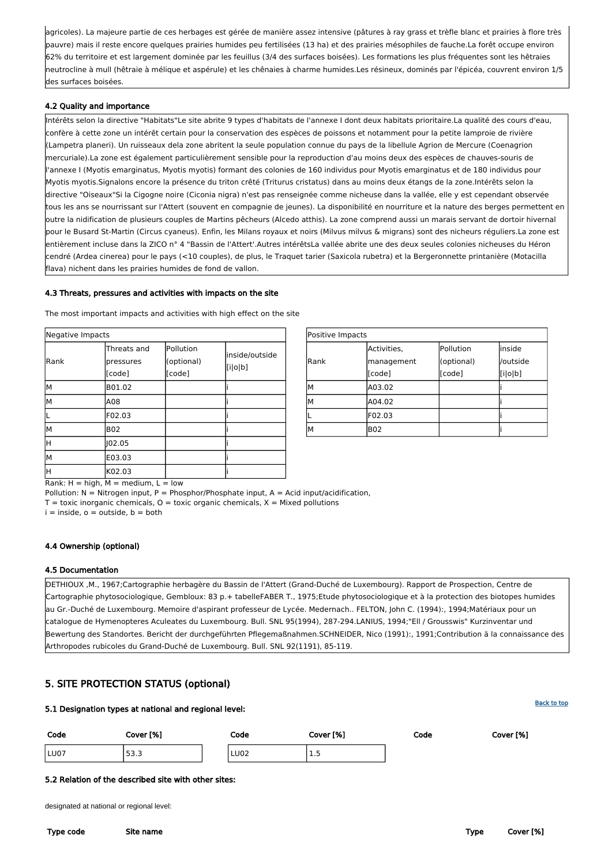| Positive Impacts |             |            |          |  |  |  |  |  |  |
|------------------|-------------|------------|----------|--|--|--|--|--|--|
|                  | Activities, | Pollution  | inside   |  |  |  |  |  |  |
| Rank             | management  | (optional) | /outside |  |  |  |  |  |  |
|                  | [code]      | [code]     | [i o b]  |  |  |  |  |  |  |
| lм               | A03.02      |            |          |  |  |  |  |  |  |
| lм               | A04.02      |            |          |  |  |  |  |  |  |
| IL               | F02.03      |            |          |  |  |  |  |  |  |
| lМ               | <b>B02</b>  |            |          |  |  |  |  |  |  |

Rank:  $H = high$ ,  $M = medium$ ,  $L = low$ 

Pollution:  $N =$  Nitrogen input, P = Phosphor/Phosphate input, A = Acid input/acidification,

 $T =$  toxic inorganic chemicals,  $O =$  toxic organic chemicals,  $X =$  Mixed pollutions

 $i =$  inside,  $o =$  outside,  $b =$  both

| Negative Impacts |                                    |                                   |                           |  |
|------------------|------------------------------------|-----------------------------------|---------------------------|--|
| Rank             | Threats and<br>pressures<br>[code] | Pollution<br>(optional)<br>[code] | inside/outside<br>[i o b] |  |
| M                | B01.02                             |                                   |                           |  |
| M                | A08                                |                                   |                           |  |
|                  | F02.03                             |                                   |                           |  |
| М                | <b>B02</b>                         |                                   |                           |  |
| H                | 102.05                             |                                   |                           |  |
| M                | E03.03                             |                                   |                           |  |
| H                | K02.03                             |                                   |                           |  |

agricoles). La majeure partie de ces herbages est gérée de manière assez intensive (pâtures à ray grass et trèfle blanc et prairies à flore très pauvre) mais il reste encore quelques prairies humides peu fertilisées (13 ha) et des prairies mésophiles de fauche.La forêt occupe environ 62% du territoire et est largement dominée par les feuillus (3/4 des surfaces boisées). Les formations les plus fréquentes sont les hêtraies neutrocline à mull (hêtraie à mélique et aspérule) et les chênaies à charme humides.Les résineux, dominés par l'épicéa, couvrent environ 1/5 des surfaces boisées.

## 4.2 Quality and importance

Intérêts selon la directive "Habitats"Le site abrite 9 types d'habitats de l'annexe I dont deux habitats prioritaire.La qualité des cours d'eau, confère à cette zone un intérêt certain pour la conservation des espèces de poissons et notamment pour la petite lamproie de rivière (Lampetra planeri). Un ruisseaux dela zone abritent la seule population connue du pays de la libellule Agrion de Mercure (Coenagrion mercuriale).La zone est également particulièrement sensible pour la reproduction d'au moins deux des espèces de chauves-souris de l'annexe I (Myotis emarginatus, Myotis myotis) formant des colonies de 160 individus pour Myotis emarginatus et de 180 individus pour Myotis myotis.Signalons encore la présence du triton crêté (Triturus cristatus) dans au moins deux étangs de la zone.Intérêts selon la directive "Oiseaux"Si la Cigogne noire (Ciconia nigra) n'est pas renseignée comme nicheuse dans la vallée, elle y est cependant observée tous les ans se nourrissant sur l'Attert (souvent en compagnie de jeunes). La disponibilité en nourriture et la nature des berges permettent en outre la nidification de plusieurs couples de Martins pêcheurs (Alcedo atthis). La zone comprend aussi un marais servant de dortoir hivernal pour le Busard St-Martin (Circus cyaneus). Enfin, les Milans royaux et noirs (Milvus milvus & migrans) sont des nicheurs réguliers.La zone est entièrement incluse dans la ZICO n° 4 "Bassin de l'Attert'.Autres intérêtsLa vallée abrite une des deux seules colonies nicheuses du Héron cendré (Ardea cinerea) pour le pays (<10 couples), de plus, le Traquet tarier (Saxicola rubetra) et la Bergeronnette printanière (Motacilla flava) nichent dans les prairies humides de fond de vallon.

### 4.3 Threats, pressures and activities with impacts on the site

The most important impacts and activities with high effect on the site

# 4.4 Ownership (optional)

# 4.5 Documentation

DETHIOUX ,M., 1967;Cartographie herbagère du Bassin de l'Attert (Grand-Duché de Luxembourg). Rapport de Prospection, Centre de Cartographie phytosociologique, Gembloux: 83 p.+ tabelleFABER T., 1975;Etude phytosociologique et à la protection des biotopes humides au Gr.-Duché de Luxembourg. Memoire d'aspirant professeur de Lycée. Medernach.. FELTON, John C. (1994):, 1994;Matériaux pour un catalogue de Hymenopteres Aculeates du Luxembourg. Bull. SNL 95(1994), 287-294.LANIUS, 1994;"Ell / Grousswis" Kurzinventar und Bewertung des Standortes. Bericht der durchgeführten Pflegemaßnahmen.SCHNEIDER, Nico (1991):, 1991;Contribution ä la connaissance des Arthropodes rubicoles du Grand-Duché de Luxembourg. Bull. SNL 92(1191), 85-119.

# <span id="page-4-0"></span>5. SITE PROTECTION STATUS (optional)

### 5.1 Designation types at national and regional level:

| Code | Cover [%] | Code        | Cover [%] | Code | Cover [%] |
|------|-----------|-------------|-----------|------|-----------|
| LU07 | ר רם<br>  | <b>LU02</b> | <u>.</u>  |      |           |

#### 5.2 Relation of the described site with other sites:

designated at national or regional level:

Type code Site name Type Cover [%]